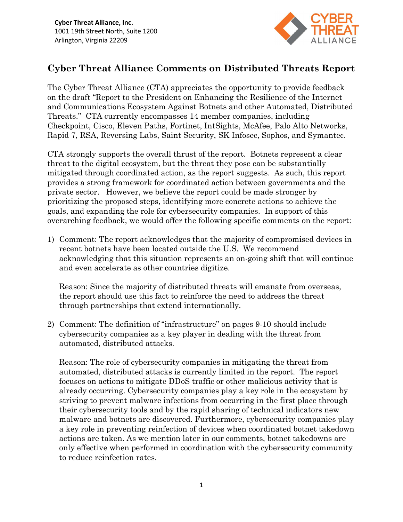

## Cyber Threat Alliance Comments on Distributed Threats Report

The Cyber Threat Alliance (CTA) appreciates the opportunity to provide feedback on the draft "Report to the President on Enhancing the Resilience of the Internet and Communications Ecosystem Against Botnets and other Automated, Distributed Threats." CTA currently encompasses 14 member companies, including Checkpoint, Cisco, Eleven Paths, Fortinet, IntSights, McAfee, Palo Alto Networks, Rapid 7, RSA, Reversing Labs, Saint Security, SK Infosec, Sophos, and Symantec.

CTA strongly supports the overall thrust of the report. Botnets represent a clear threat to the digital ecosystem, but the threat they pose can be substantially mitigated through coordinated action, as the report suggests. As such, this report provides a strong framework for coordinated action between governments and the private sector. However, we believe the report could be made stronger by prioritizing the proposed steps, identifying more concrete actions to achieve the goals, and expanding the role for cybersecurity companies. In support of this overarching feedback, we would offer the following specific comments on the report:

1) Comment: The report acknowledges that the majority of compromised devices in recent botnets have been located outside the U.S. We recommend acknowledging that this situation represents an on-going shift that will continue and even accelerate as other countries digitize.

Reason: Since the majority of distributed threats will emanate from overseas, the report should use this fact to reinforce the need to address the threat through partnerships that extend internationally.

2) Comment: The definition of "infrastructure" on pages 9-10 should include cybersecurity companies as a key player in dealing with the threat from automated, distributed attacks.

Reason: The role of cybersecurity companies in mitigating the threat from automated, distributed attacks is currently limited in the report. The report focuses on actions to mitigate DDoS traffic or other malicious activity that is already occurring. Cybersecurity companies play a key role in the ecosystem by striving to prevent malware infections from occurring in the first place through their cybersecurity tools and by the rapid sharing of technical indicators new malware and botnets are discovered. Furthermore, cybersecurity companies play a key role in preventing reinfection of devices when coordinated botnet takedown actions are taken. As we mention later in our comments, botnet takedowns are only effective when performed in coordination with the cybersecurity community to reduce reinfection rates.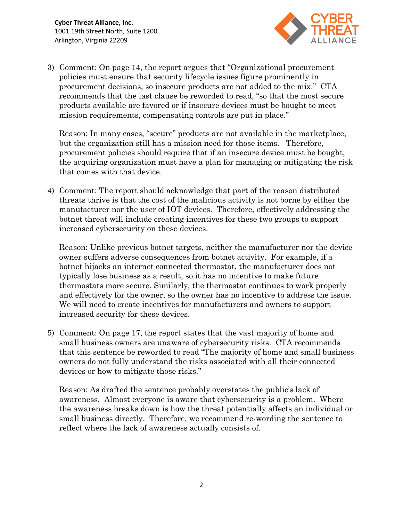

3) Comment: On page 14, the report argues that "Organizational procurement policies must ensure that security lifecycle issues figure prominently in procurement decisions, so insecure products are not added to the mix." CTA recommends that the last clause be reworded to read, "so that the most secure products available are favored or if insecure devices must be bought to meet mission requirements, compensating controls are put in place."

Reason: In many cases, "secure" products are not available in the marketplace, but the organization still has a mission need for those items. Therefore, procurement policies should require that if an insecure device must be bought, the acquiring organization must have a plan for managing or mitigating the risk that comes with that device.

4) Comment: The report should acknowledge that part of the reason distributed threats thrive is that the cost of the malicious activity is not borne by either the manufacturer nor the user of IOT devices. Therefore, effectively addressing the botnet threat will include creating incentives for these two groups to support increased cybersecurity on these devices.

Reason: Unlike previous botnet targets, neither the manufacturer nor the device owner suffers adverse consequences from botnet activity. For example, if a botnet hijacks an internet connected thermostat, the manufacturer does not typically lose business as a result, so it has no incentive to make future thermostats more secure. Similarly, the thermostat continues to work properly and effectively for the owner, so the owner has no incentive to address the issue. We will need to create incentives for manufacturers and owners to support increased security for these devices.

5) Comment: On page 17, the report states that the vast majority of home and small business owners are unaware of cybersecurity risks. CTA recommends that this sentence be reworded to read "The majority of home and small business owners do not fully understand the risks associated with all their connected devices or how to mitigate those risks."

Reason: As drafted the sentence probably overstates the public's lack of awareness. Almost everyone is aware that cybersecurity is a problem. Where the awareness breaks down is how the threat potentially affects an individual or small business directly. Therefore, we recommend re-wording the sentence to reflect where the lack of awareness actually consists of.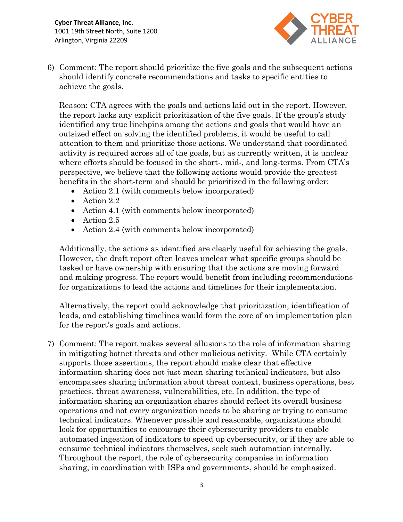

6) Comment: The report should prioritize the five goals and the subsequent actions should identify concrete recommendations and tasks to specific entities to achieve the goals.

Reason: CTA agrees with the goals and actions laid out in the report. However, the report lacks any explicit prioritization of the five goals. If the group's study identified any true linchpins among the actions and goals that would have an outsized effect on solving the identified problems, it would be useful to call attention to them and prioritize those actions. We understand that coordinated activity is required across all of the goals, but as currently written, it is unclear where efforts should be focused in the short-, mid-, and long-terms. From CTA's perspective, we believe that the following actions would provide the greatest benefits in the short-term and should be prioritized in the following order:

- Action 2.1 (with comments below incorporated)
- Action 2.2
- Action 4.1 (with comments below incorporated)
- Action 2.5
- Action 2.4 (with comments below incorporated)

Additionally, the actions as identified are clearly useful for achieving the goals. However, the draft report often leaves unclear what specific groups should be tasked or have ownership with ensuring that the actions are moving forward and making progress. The report would benefit from including recommendations for organizations to lead the actions and timelines for their implementation.

Alternatively, the report could acknowledge that prioritization, identification of leads, and establishing timelines would form the core of an implementation plan for the report's goals and actions.

7) Comment: The report makes several allusions to the role of information sharing in mitigating botnet threats and other malicious activity. While CTA certainly supports those assertions, the report should make clear that effective information sharing does not just mean sharing technical indicators, but also encompasses sharing information about threat context, business operations, best practices, threat awareness, vulnerabilities, etc. In addition, the type of information sharing an organization shares should reflect its overall business operations and not every organization needs to be sharing or trying to consume technical indicators. Whenever possible and reasonable, organizations should look for opportunities to encourage their cybersecurity providers to enable automated ingestion of indicators to speed up cybersecurity, or if they are able to consume technical indicators themselves, seek such automation internally. Throughout the report, the role of cybersecurity companies in information sharing, in coordination with ISPs and governments, should be emphasized.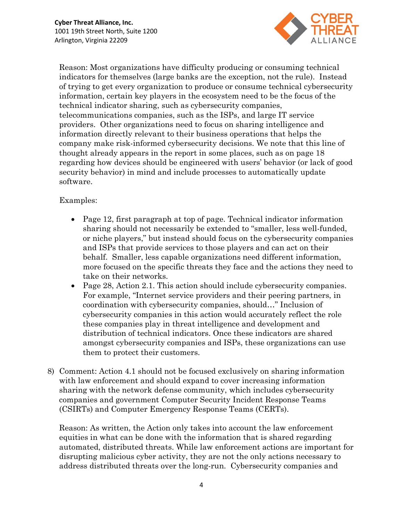

Reason: Most organizations have difficulty producing or consuming technical indicators for themselves (large banks are the exception, not the rule). Instead of trying to get every organization to produce or consume technical cybersecurity information, certain key players in the ecosystem need to be the focus of the technical indicator sharing, such as cybersecurity companies, telecommunications companies, such as the ISPs, and large IT service providers. Other organizations need to focus on sharing intelligence and information directly relevant to their business operations that helps the company make risk-informed cybersecurity decisions. We note that this line of thought already appears in the report in some places, such as on page 18 regarding how devices should be engineered with users' behavior (or lack of good security behavior) in mind and include processes to automatically update software.

## Examples:

- Page 12, first paragraph at top of page. Technical indicator information sharing should not necessarily be extended to "smaller, less well-funded, or niche players," but instead should focus on the cybersecurity companies and ISPs that provide services to those players and can act on their behalf. Smaller, less capable organizations need different information, more focused on the specific threats they face and the actions they need to take on their networks.
- Page 28, Action 2.1. This action should include cybers ecurity companies. For example, "Internet service providers and their peering partners, in coordination with cybersecurity companies, should…" Inclusion of cybersecurity companies in this action would accurately reflect the role these companies play in threat intelligence and development and distribution of technical indicators. Once these indicators are shared amongst cybersecurity companies and ISPs, these organizations can use them to protect their customers.
- 8) Comment: Action 4.1 should not be focused exclusively on sharing information with law enforcement and should expand to cover increasing information sharing with the network defense community, which includes cybersecurity companies and government Computer Security Incident Response Teams (CSIRTs) and Computer Emergency Response Teams (CERTs).

Reason: As written, the Action only takes into account the law enforcement equities in what can be done with the information that is shared regarding automated, distributed threats. While law enforcement actions are important for disrupting malicious cyber activity, they are not the only actions necessary to address distributed threats over the long-run. Cybersecurity companies and